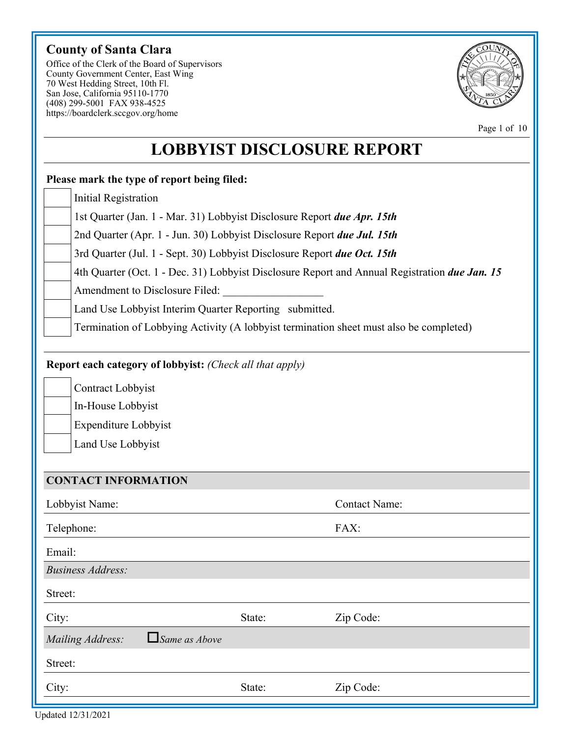# **County of Santa Clara**

Office of the Clerk of the Board of Supervisors County Government Center, East Wing 70 West Hedding Street, 10th Fl. San Jose, California 95110-1770 (408) 299-5001 FAX 938-4525 https://boardclerk.sccgov.org/home



Page 1 of 10

# **LOBBYIST DISCLOSURE REPORT**

# **Please mark the type of report being filed:** Initial Registration 1st Quarter (Jan. 1 - Mar. 31) Lobbyist Disclosure Report *due Apr. 15th* 2nd Quarter (Apr. 1 - Jun. 30) Lobbyist Disclosure Report *due Jul. 15th* 3rd Quarter (Jul. 1 - Sept. 30) Lobbyist Disclosure Report *due Oct. 15th* 4th Quarter (Oct. 1 - Dec. 31) Lobbyist Disclosure Report and Annual Registration *due Jan. 15* Amendment to Disclosure Filed: Land Use Lobbyist Interim Quarter Reporting submitted. **Report each category of lobbyist:** *(Check all that apply)* Contract Lobbyist In-House Lobbyist Expenditure Lobbyist Land Use Lobbyist **CONTACT INFORMATION** Lobbyist Name: Contact Name: Telephone: FAX: Email: *Business Address:*  Street: State: **Zip Code:** *Mailing Address: Same as Above* Street: City: State: Zip Code: City: Termination of Lobbying Activity (A lobbyist termination sheet must also be completed)

Updated 12/31/2021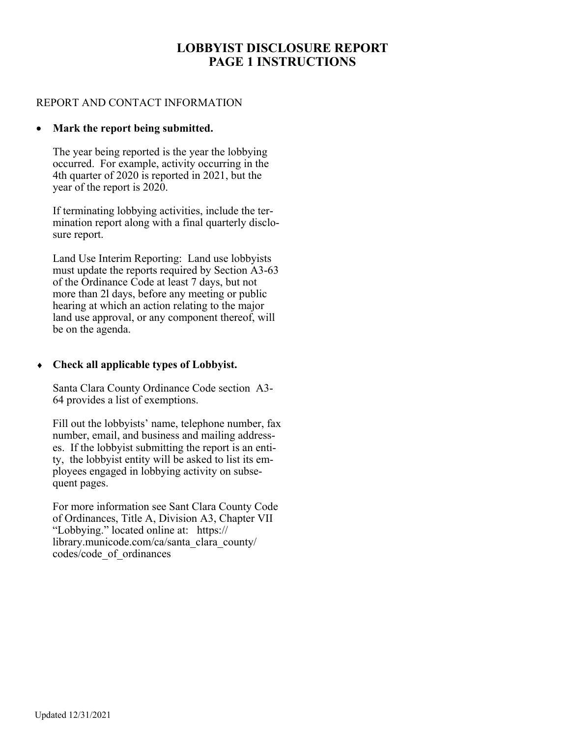# **LOBBYIST DISCLOSURE REPORT PAGE 1 INSTRUCTIONS**

#### REPORT AND CONTACT INFORMATION

#### **Mark the report being submitted.**

The year being reported is the year the lobbying occurred. For example, activity occurring in the 4th quarter of 2020 is reported in 2021, but the year of the report is 2020.

If terminating lobbying activities, include the termination report along with a final quarterly disclosure report.

Land Use Interim Reporting: Land use lobbyists must update the reports required by Section A3-63 of the Ordinance Code at least 7 days, but not more than 2l days, before any meeting or public hearing at which an action relating to the major land use approval, or any component thereof, will be on the agenda.

#### **Check all applicable types of Lobbyist.**

Santa Clara County Ordinance Code section A3- 64 provides a list of exemptions.

Fill out the lobbyists' name, telephone number, fax number, email, and business and mailing addresses. If the lobbyist submitting the report is an entity, the lobbyist entity will be asked to list its employees engaged in lobbying activity on subsequent pages.

For more information see Sant Clara County Code of Ordinances, Title A, Division A3, Chapter VII "Lobbying." located online at: https:// library.municode.com/ca/santa\_clara\_county/ codes/code\_of\_ordinances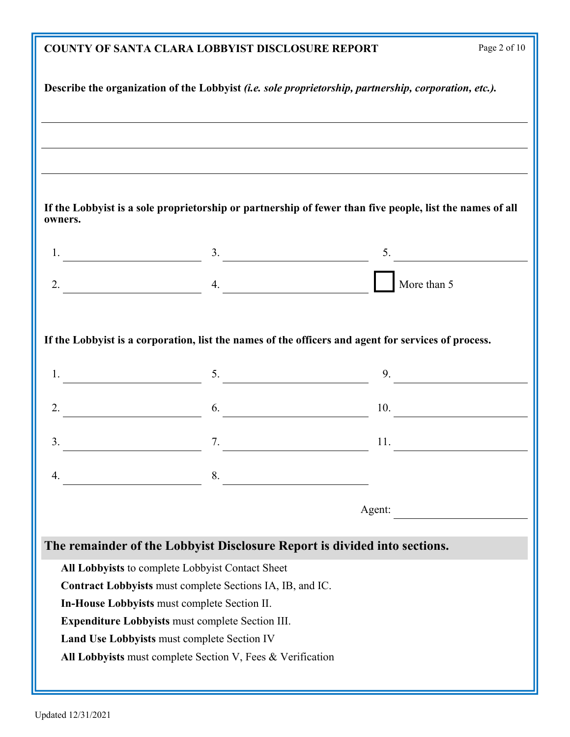|                                                                                                           | <b>COUNTY OF SANTA CLARA LOBBYIST DISCLOSURE REPORT</b>                                                  | Page 2 of 10  |  |  |
|-----------------------------------------------------------------------------------------------------------|----------------------------------------------------------------------------------------------------------|---------------|--|--|
| Describe the organization of the Lobbyist (i.e. sole proprietorship, partnership, corporation, etc.).     |                                                                                                          |               |  |  |
|                                                                                                           |                                                                                                          |               |  |  |
|                                                                                                           | ,我们也不会有什么。""我们的人,我们也不会有什么?""我们的人,我们也不会有什么?""我们的人,我们的人,我们的人,我们的人,我们的人,我们的人,我们的人,我                         |               |  |  |
|                                                                                                           |                                                                                                          |               |  |  |
| owners.                                                                                                   | If the Lobbyist is a sole proprietorship or partnership of fewer than five people, list the names of all |               |  |  |
|                                                                                                           | $1.$ $3.$                                                                                                | $\frac{5}{2}$ |  |  |
| $2.$ 4.                                                                                                   |                                                                                                          | More than 5   |  |  |
|                                                                                                           |                                                                                                          |               |  |  |
|                                                                                                           | If the Lobbyist is a corporation, list the names of the officers and agent for services of process.      |               |  |  |
| 1.                                                                                                        | $\sim$ 5. $\sim$ 9.                                                                                      |               |  |  |
| 2.                                                                                                        | $\overline{6}$ .                                                                                         | 10.           |  |  |
| 3.                                                                                                        | 7.                                                                                                       | 11.           |  |  |
| $\overline{4}$ .                                                                                          | 8. $\qquad \qquad$                                                                                       |               |  |  |
|                                                                                                           |                                                                                                          | Agent:        |  |  |
|                                                                                                           | The remainder of the Lobbyist Disclosure Report is divided into sections.                                |               |  |  |
| All Lobbyists to complete Lobbyist Contact Sheet                                                          |                                                                                                          |               |  |  |
| Contract Lobbyists must complete Sections IA, IB, and IC.                                                 |                                                                                                          |               |  |  |
| In-House Lobbyists must complete Section II.                                                              |                                                                                                          |               |  |  |
| <b>Expenditure Lobbyists must complete Section III.</b>                                                   |                                                                                                          |               |  |  |
| Land Use Lobbyists must complete Section IV<br>All Lobbyists must complete Section V, Fees & Verification |                                                                                                          |               |  |  |
|                                                                                                           |                                                                                                          |               |  |  |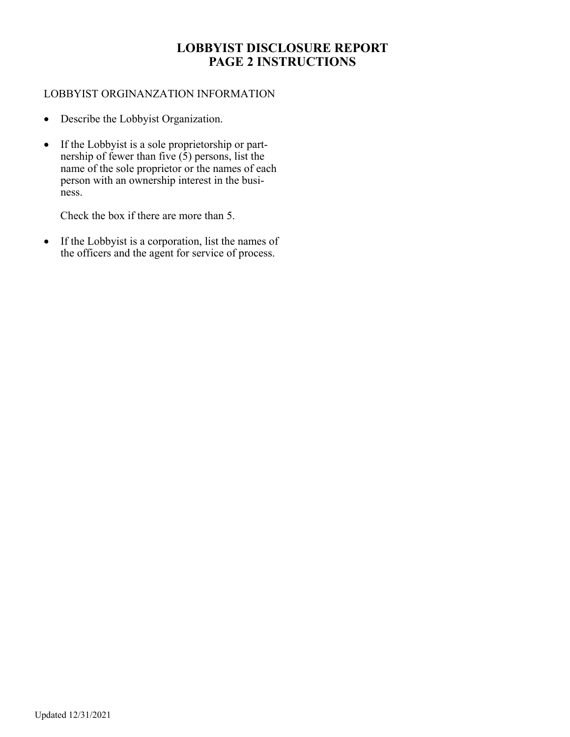# **LOBBYIST DISCLOSURE REPORT PAGE 2 INSTRUCTIONS**

#### LOBBYIST ORGINANZATION INFORMATION

- Describe the Lobbyist Organization.
- If the Lobbyist is a sole proprietorship or partnership of fewer than five  $(5)$  persons, list the name of the sole proprietor or the names of each person with an ownership interest in the business.

Check the box if there are more than 5.

• If the Lobbyist is a corporation, list the names of the officers and the agent for service of process.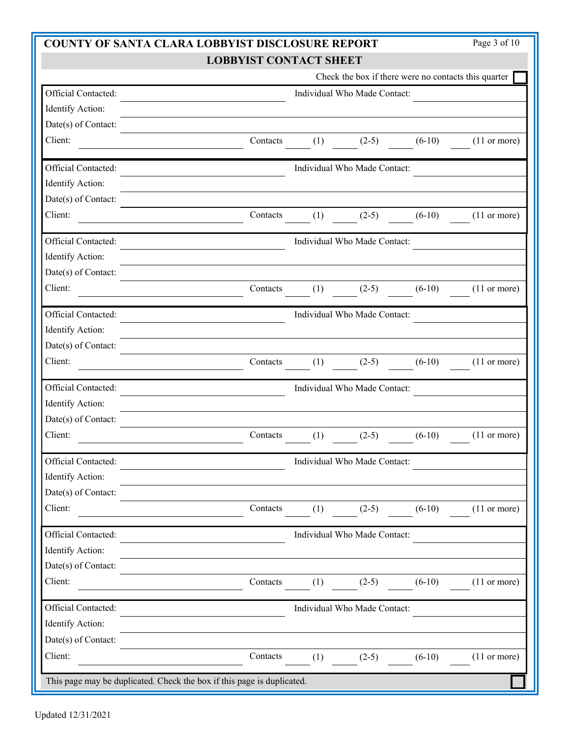| <b>COUNTY OF SANTA CLARA LOBBYIST DISCLOSURE REPORT</b>                |                               |     |                              |                                                      | Page 3 of 10           |
|------------------------------------------------------------------------|-------------------------------|-----|------------------------------|------------------------------------------------------|------------------------|
|                                                                        | <b>LOBBYIST CONTACT SHEET</b> |     |                              |                                                      |                        |
|                                                                        |                               |     |                              | Check the box if there were no contacts this quarter |                        |
| Official Contacted:                                                    |                               |     | Individual Who Made Contact: |                                                      |                        |
| Identify Action:                                                       |                               |     |                              |                                                      |                        |
| Date(s) of Contact:                                                    |                               |     |                              |                                                      |                        |
| Client:                                                                | Contacts                      | (1) | $(2-5)$                      | $(6-10)$                                             | $(11 \text{ or more})$ |
| Official Contacted:                                                    |                               |     | Individual Who Made Contact: |                                                      |                        |
| Identify Action:                                                       |                               |     |                              |                                                      |                        |
| Date(s) of Contact:                                                    |                               |     |                              |                                                      |                        |
| Client:                                                                | Contacts                      | (1) | $(2-5)$                      | $(6-10)$                                             | $(11 \text{ or more})$ |
| Official Contacted:                                                    |                               |     | Individual Who Made Contact: |                                                      |                        |
| Identify Action:                                                       |                               |     |                              |                                                      |                        |
| Date(s) of Contact:                                                    |                               |     |                              |                                                      |                        |
| Client:                                                                | Contacts                      | (1) | $(2-5)$                      | $(6-10)$                                             | $(11 \text{ or more})$ |
| Official Contacted:                                                    |                               |     | Individual Who Made Contact: |                                                      |                        |
| Identify Action:                                                       |                               |     |                              |                                                      |                        |
| Date(s) of Contact:                                                    |                               |     |                              |                                                      |                        |
| Client:                                                                | Contacts                      | (1) | $(2-5)$                      | $(6-10)$                                             | $(11 \text{ or more})$ |
| Official Contacted:                                                    |                               |     | Individual Who Made Contact: |                                                      |                        |
| Identify Action:                                                       |                               |     |                              |                                                      |                        |
| Date(s) of Contact:                                                    |                               |     |                              |                                                      |                        |
| Client:                                                                | Contacts                      | (1) | $(2-5)$                      | $(6-10)$                                             | $(11 \text{ or more})$ |
| Official Contacted:                                                    |                               |     | Individual Who Made Contact: |                                                      |                        |
| Identify Action:                                                       |                               |     |                              |                                                      |                        |
| Date(s) of Contact:                                                    |                               |     |                              |                                                      |                        |
| Client:                                                                | Contacts                      | (1) | $(2-5)$                      | $(6-10)$                                             | $(11 \text{ or more})$ |
| Official Contacted:                                                    |                               |     | Individual Who Made Contact: |                                                      |                        |
| Identify Action:                                                       |                               |     |                              |                                                      |                        |
| Date(s) of Contact:                                                    |                               |     |                              |                                                      |                        |
| Client:                                                                | Contacts                      | (1) | $(2-5)$                      | $(6-10)$                                             | $(11 \text{ or more})$ |
| Official Contacted:                                                    |                               |     | Individual Who Made Contact: |                                                      |                        |
| Identify Action:                                                       |                               |     |                              |                                                      |                        |
| Date(s) of Contact:                                                    |                               |     |                              |                                                      |                        |
| Client:                                                                | Contacts                      | (1) | $(2-5)$                      | $(6-10)$                                             | $(11 \text{ or more})$ |
| This page may be duplicated. Check the box if this page is duplicated. |                               |     |                              |                                                      |                        |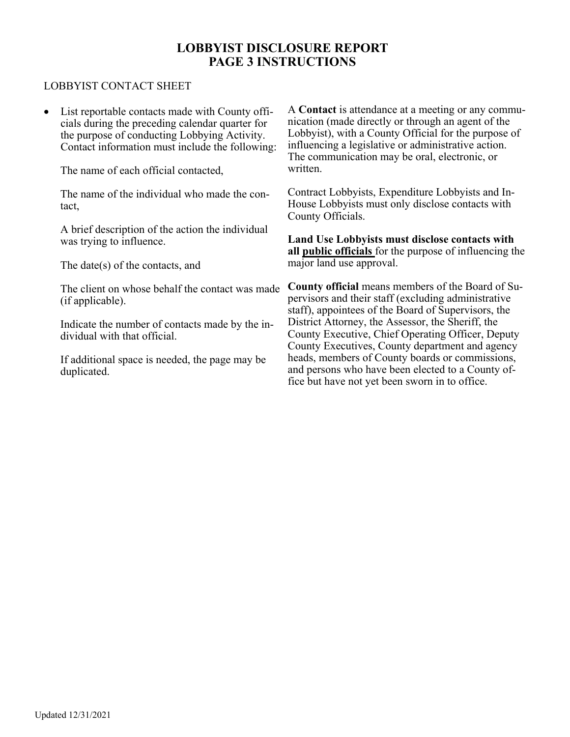# **LOBBYIST DISCLOSURE REPORT PAGE 3 INSTRUCTIONS**

#### LOBBYIST CONTACT SHEET

 List reportable contacts made with County officials during the preceding calendar quarter for the purpose of conducting Lobbying Activity. Contact information must include the following:

The name of each official contacted,

The name of the individual who made the contact,

A brief description of the action the individual was trying to influence.

The date(s) of the contacts, and

The client on whose behalf the contact was made (if applicable).

Indicate the number of contacts made by the individual with that official.

If additional space is needed, the page may be duplicated.

A **Contact** is attendance at a meeting or any communication (made directly or through an agent of the Lobbyist), with a County Official for the purpose of influencing a legislative or administrative action. The communication may be oral, electronic, or written.

Contract Lobbyists, Expenditure Lobbyists and In-House Lobbyists must only disclose contacts with County Officials.

**Land Use Lobbyists must disclose contacts with all public officials** for the purpose of influencing the major land use approval.

**County official** means members of the Board of Supervisors and their staff (excluding administrative staff), appointees of the Board of Supervisors, the District Attorney, the Assessor, the Sheriff, the County Executive, Chief Operating Officer, Deputy County Executives, County department and agency heads, members of County boards or commissions, and persons who have been elected to a County office but have not yet been sworn in to office.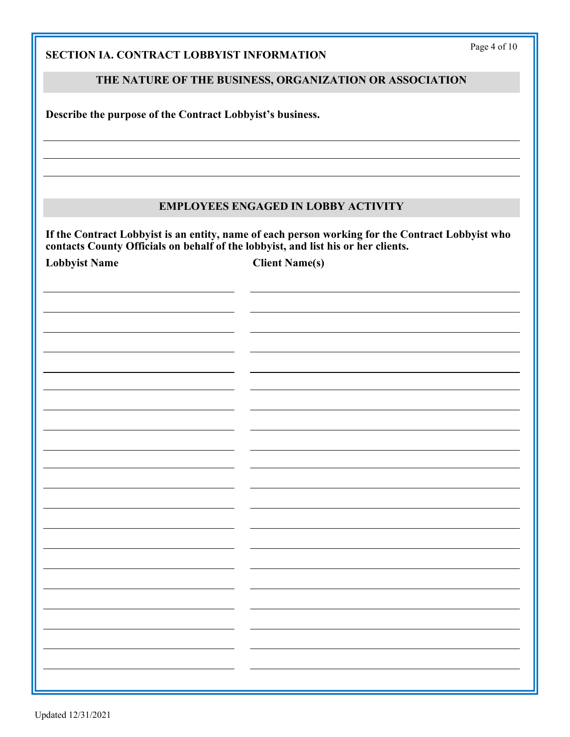| the contract of the contract of the contract of the contract of the contract of                                       |                                   |  |
|-----------------------------------------------------------------------------------------------------------------------|-----------------------------------|--|
|                                                                                                                       |                                   |  |
|                                                                                                                       |                                   |  |
|                                                                                                                       |                                   |  |
|                                                                                                                       |                                   |  |
| <u> 1989 - Johann Stoff, deutscher Stoffen und der Stoffen und der Stoffen und der Stoffen und der Stoffen und de</u> | the control of the control of the |  |

#### Updated 12/31/2021

| SECTION IA. CONTRACT LOBBYIST INFORMATION | Page 4 of 10 |
|-------------------------------------------|--------------|
|                                           |              |

#### **THE NATURE OF THE BUSINESS, ORGANIZATION OR ASSOCIATION**

**Describe the purpose of the Contract Lobbyist's business.** 

#### **EMPLOYEES ENGAGED IN LOBBY ACTIVITY**

**If the Contract Lobbyist is an entity, name of each person working for the Contract Lobbyist who contacts County Officials on behalf of the lobbyist, and list his or her clients.** 

Lobbyist Name Client Name(s)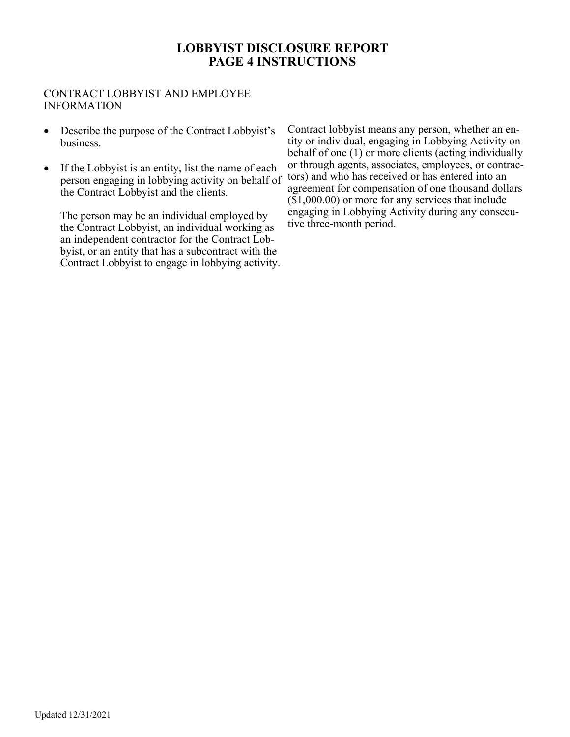# **LOBBYIST DISCLOSURE REPORT PAGE 4 INSTRUCTIONS**

#### CONTRACT LOBBYIST AND EMPLOYEE INFORMATION

- Describe the purpose of the Contract Lobbyist's business.
- If the Lobbyist is an entity, list the name of each person engaging in lobbying activity on behalf of the Contract Lobbyist and the clients.

The person may be an individual employed by the Contract Lobbyist, an individual working as an independent contractor for the Contract Lobbyist, or an entity that has a subcontract with the Contract Lobbyist to engage in lobbying activity. Contract lobbyist means any person, whether an entity or individual, engaging in Lobbying Activity on behalf of one (1) or more clients (acting individually or through agents, associates, employees, or contractors) and who has received or has entered into an agreement for compensation of one thousand dollars (\$1,000.00) or more for any services that include engaging in Lobbying Activity during any consecutive three-month period.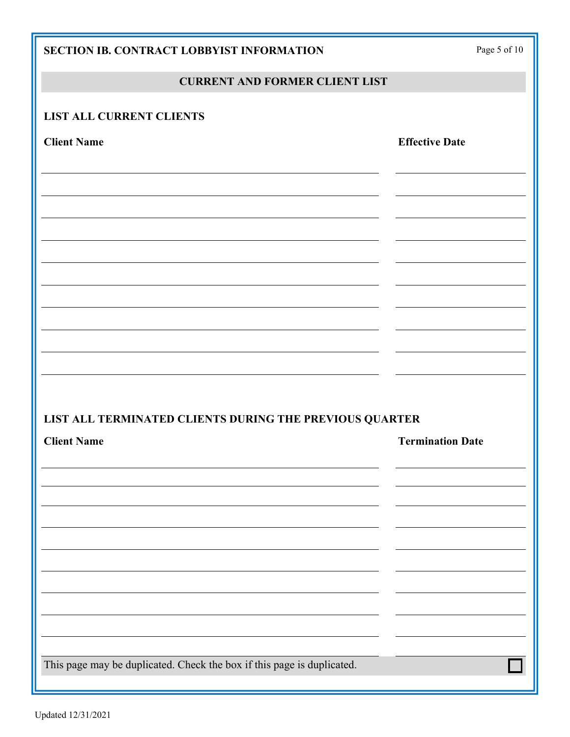| SECTION IB. CONTRACT LOBBYIST INFORMATION                              | Page 5 of $10\,$        |
|------------------------------------------------------------------------|-------------------------|
| <b>CURRENT AND FORMER CLIENT LIST</b>                                  |                         |
| <b>LIST ALL CURRENT CLIENTS</b>                                        |                         |
| <b>Client Name</b>                                                     | <b>Effective Date</b>   |
|                                                                        |                         |
|                                                                        |                         |
|                                                                        |                         |
|                                                                        |                         |
|                                                                        |                         |
|                                                                        |                         |
|                                                                        |                         |
|                                                                        |                         |
| LIST ALL TERMINATED CLIENTS DURING THE PREVIOUS QUARTER                |                         |
| <b>Client Name</b>                                                     | <b>Termination Date</b> |
|                                                                        |                         |
|                                                                        |                         |
|                                                                        |                         |
|                                                                        |                         |
|                                                                        |                         |
|                                                                        |                         |
|                                                                        |                         |
| This page may be duplicated. Check the box if this page is duplicated. |                         |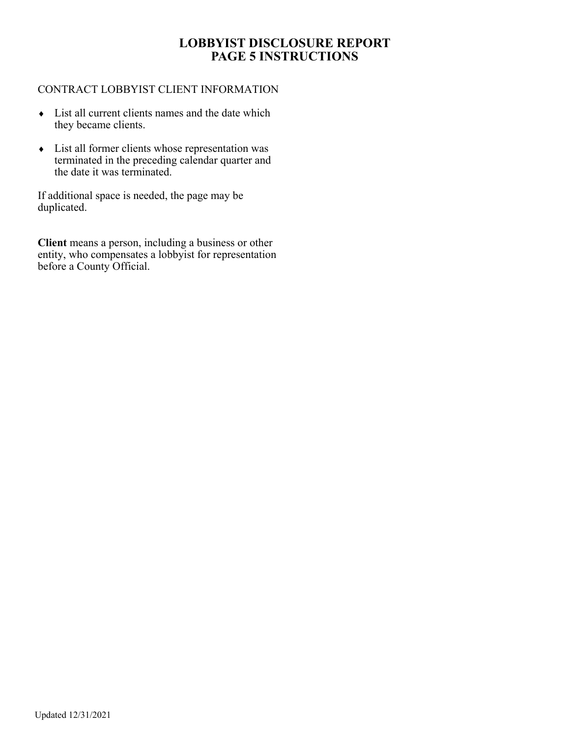# **LOBBYIST DISCLOSURE REPORT PAGE 5 INSTRUCTIONS**

#### CONTRACT LOBBYIST CLIENT INFORMATION

- List all current clients names and the date which they became clients.
- List all former clients whose representation was terminated in the preceding calendar quarter and the date it was terminated.

If additional space is needed, the page may be duplicated.

**Client** means a person, including a business or other entity, who compensates a lobbyist for representation before a County Official.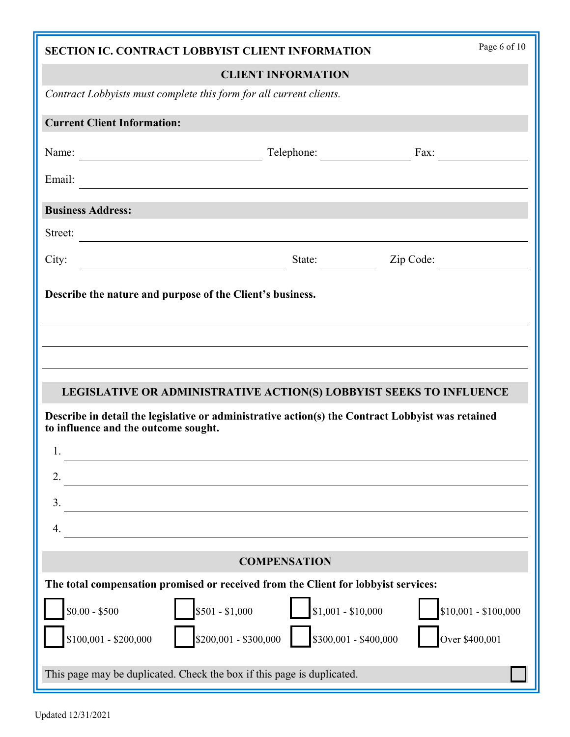|                                                                     | SECTION IC. CONTRACT LOBBYIST CLIENT INFORMATION                                                  | Page 6 of 10         |
|---------------------------------------------------------------------|---------------------------------------------------------------------------------------------------|----------------------|
|                                                                     | <b>CLIENT INFORMATION</b>                                                                         |                      |
| Contract Lobbyists must complete this form for all current clients. |                                                                                                   |                      |
| <b>Current Client Information:</b>                                  |                                                                                                   |                      |
| Name:                                                               | Telephone:                                                                                        | Fax: $\qquad \qquad$ |
|                                                                     |                                                                                                   |                      |
| <b>Business Address:</b>                                            |                                                                                                   |                      |
| Street:                                                             |                                                                                                   |                      |
| City:                                                               | State: Zip Code:                                                                                  |                      |
| Describe the nature and purpose of the Client's business.           |                                                                                                   |                      |
|                                                                     |                                                                                                   |                      |
|                                                                     |                                                                                                   |                      |
|                                                                     |                                                                                                   |                      |
|                                                                     | LEGISLATIVE OR ADMINISTRATIVE ACTION(S) LOBBYIST SEEKS TO INFLUENCE                               |                      |
| to influence and the outcome sought.                                | Describe in detail the legislative or administrative action(s) the Contract Lobbyist was retained |                      |
| 1.                                                                  |                                                                                                   |                      |
| 2.                                                                  |                                                                                                   |                      |
| 3.                                                                  |                                                                                                   |                      |
| 4.                                                                  |                                                                                                   |                      |
|                                                                     |                                                                                                   |                      |
|                                                                     | <b>COMPENSATION</b>                                                                               |                      |
|                                                                     | The total compensation promised or received from the Client for lobbyist services:                |                      |
| $$0.00 - $500$                                                      | $$501 - $1,000$<br>$$1,001 - $10,000$                                                             | $$10,001 - $100,000$ |
| $$100,001 - $200,000$                                               | $$300,001 - $400,000$<br>$$200,001 - $300,000$                                                    | Over \$400,001       |
|                                                                     | This page may be duplicated. Check the box if this page is duplicated.                            |                      |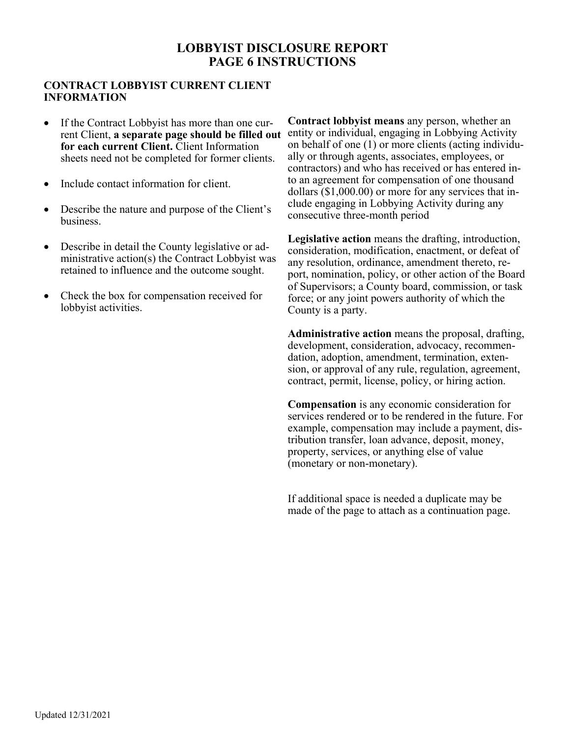# **LOBBYIST DISCLOSURE REPORT PAGE 6 INSTRUCTIONS**

#### **CONTRACT LOBBYIST CURRENT CLIENT INFORMATION**

- If the Contract Lobbyist has more than one current Client, **a separate page should be filled out for each current Client.** Client Information sheets need not be completed for former clients.
- Include contact information for client.
- Describe the nature and purpose of the Client's business.
- Describe in detail the County legislative or administrative action(s) the Contract Lobbyist was retained to influence and the outcome sought.
- Check the box for compensation received for lobbyist activities.

**Contract lobbyist means** any person, whether an entity or individual, engaging in Lobbying Activity on behalf of one (1) or more clients (acting individually or through agents, associates, employees, or contractors) and who has received or has entered into an agreement for compensation of one thousand dollars (\$1,000.00) or more for any services that include engaging in Lobbying Activity during any consecutive three-month period

**Legislative action** means the drafting, introduction, consideration, modification, enactment, or defeat of any resolution, ordinance, amendment thereto, report, nomination, policy, or other action of the Board of Supervisors; a County board, commission, or task force; or any joint powers authority of which the County is a party.

**Administrative action** means the proposal, drafting, development, consideration, advocacy, recommendation, adoption, amendment, termination, extension, or approval of any rule, regulation, agreement, contract, permit, license, policy, or hiring action.

**Compensation** is any economic consideration for services rendered or to be rendered in the future. For example, compensation may include a payment, distribution transfer, loan advance, deposit, money, property, services, or anything else of value (monetary or non-monetary).

If additional space is needed a duplicate may be made of the page to attach as a continuation page.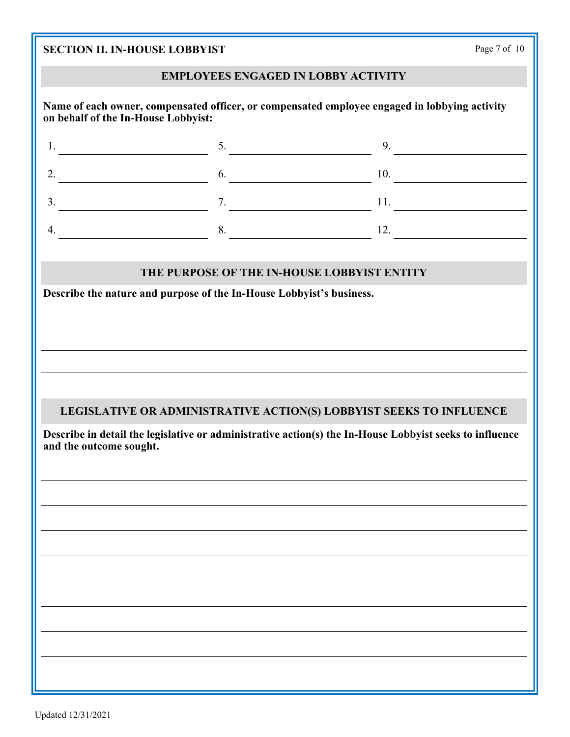| <b>SECTION II. IN-HOUSE LOBBYIST</b>                                                                                                 | Page 7 of 10                                                        |                             |  |  |
|--------------------------------------------------------------------------------------------------------------------------------------|---------------------------------------------------------------------|-----------------------------|--|--|
| <b>EMPLOYEES ENGAGED IN LOBBY ACTIVITY</b>                                                                                           |                                                                     |                             |  |  |
| Name of each owner, compensated officer, or compensated employee engaged in lobbying activity<br>on behalf of the In-House Lobbyist: |                                                                     |                             |  |  |
| 1.                                                                                                                                   | 5.                                                                  | 9.                          |  |  |
| 2.                                                                                                                                   |                                                                     | $\frac{6}{2}$ 10.           |  |  |
| $\frac{11}{2}$ .                                                                                                                     |                                                                     |                             |  |  |
| 4.<br><u> 1980 - Jan Samuel Barbara, político establecente de la propia de la propia de la propia de la propia de la p</u>           | 8.                                                                  | $\overline{\phantom{a}12.}$ |  |  |
|                                                                                                                                      | THE PURPOSE OF THE IN-HOUSE LOBBYIST ENTITY                         |                             |  |  |
| Describe the nature and purpose of the In-House Lobbyist's business.                                                                 |                                                                     |                             |  |  |
|                                                                                                                                      |                                                                     |                             |  |  |
|                                                                                                                                      |                                                                     |                             |  |  |
|                                                                                                                                      |                                                                     |                             |  |  |
|                                                                                                                                      |                                                                     |                             |  |  |
|                                                                                                                                      | LEGISLATIVE OR ADMINISTRATIVE ACTION(S) LOBBYIST SEEKS TO INFLUENCE |                             |  |  |
| Describe in detail the legislative or administrative action(s) the In-House Lobbyist seeks to influence<br>and the outcome sought.   |                                                                     |                             |  |  |
|                                                                                                                                      |                                                                     |                             |  |  |
|                                                                                                                                      |                                                                     |                             |  |  |
|                                                                                                                                      |                                                                     |                             |  |  |
|                                                                                                                                      |                                                                     |                             |  |  |
|                                                                                                                                      |                                                                     |                             |  |  |
|                                                                                                                                      |                                                                     |                             |  |  |
|                                                                                                                                      |                                                                     |                             |  |  |
|                                                                                                                                      |                                                                     |                             |  |  |
|                                                                                                                                      |                                                                     |                             |  |  |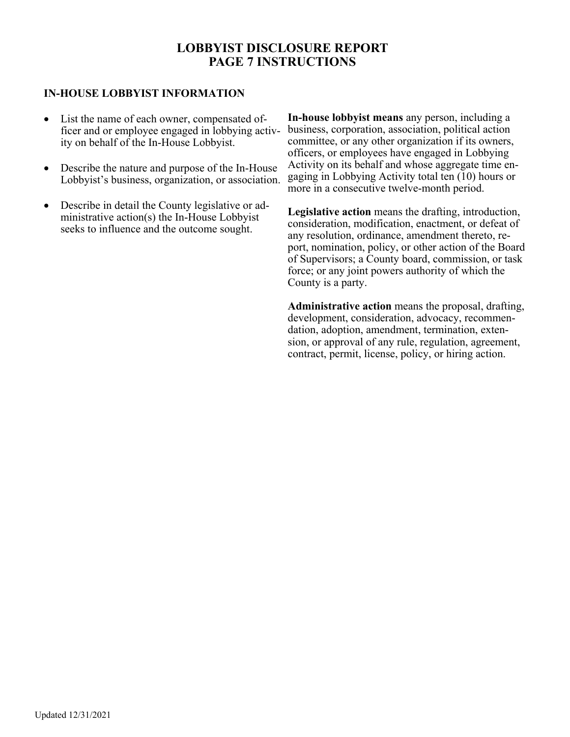# **LOBBYIST DISCLOSURE REPORT PAGE 7 INSTRUCTIONS**

#### **IN-HOUSE LOBBYIST INFORMATION**

- List the name of each owner, compensated officer and or employee engaged in lobbying activity on behalf of the In-House Lobbyist.
- Describe the nature and purpose of the In-House Lobbyist's business, organization, or association.
- Describe in detail the County legislative or administrative action(s) the In-House Lobbyist seeks to influence and the outcome sought.

**In-house lobbyist means** any person, including a business, corporation, association, political action committee, or any other organization if its owners, officers, or employees have engaged in Lobbying Activity on its behalf and whose aggregate time engaging in Lobbying Activity total ten (10) hours or more in a consecutive twelve-month period.

**Legislative action** means the drafting, introduction, consideration, modification, enactment, or defeat of any resolution, ordinance, amendment thereto, report, nomination, policy, or other action of the Board of Supervisors; a County board, commission, or task force; or any joint powers authority of which the County is a party.

**Administrative action** means the proposal, drafting, development, consideration, advocacy, recommendation, adoption, amendment, termination, extension, or approval of any rule, regulation, agreement, contract, permit, license, policy, or hiring action.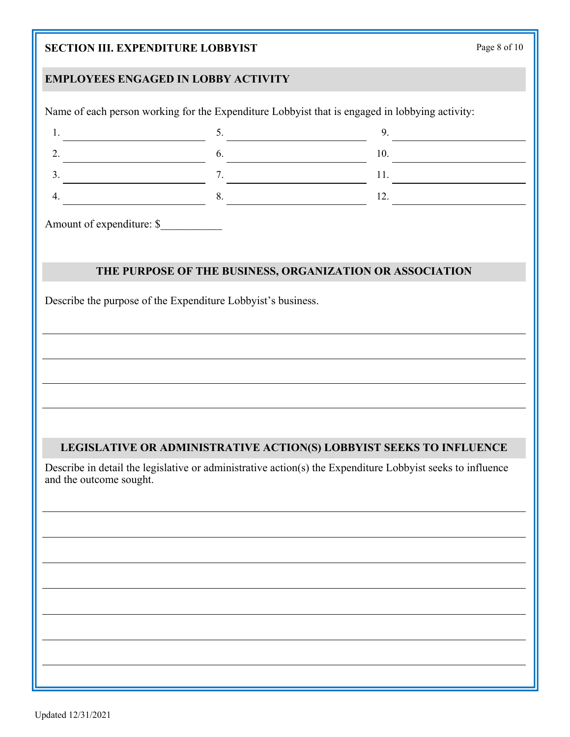# **SECTION III. EXPENDITURE LOBBYIST**

| Page 8 of 10 |  |  |  |
|--------------|--|--|--|
|--------------|--|--|--|

# **EMPLOYEES ENGAGED IN LOBBY ACTIVITY**

| $\begin{tabular}{ c c c c } \hline $1$. & \multicolumn{3}{ c }{\textbf{1}}. & \multicolumn{3}{ c }{\textbf{1}}. \\ \hline \end{tabular}$ | $\overline{\phantom{a}}$                                                                                                                                                                                                                                                                                       | 9. |  |
|------------------------------------------------------------------------------------------------------------------------------------------|----------------------------------------------------------------------------------------------------------------------------------------------------------------------------------------------------------------------------------------------------------------------------------------------------------------|----|--|
| 2.                                                                                                                                       |                                                                                                                                                                                                                                                                                                                |    |  |
| 3.                                                                                                                                       | $\frac{7}{2}$ $\frac{11}{2}$ $\frac{11}{2}$ $\frac{11}{2}$ $\frac{11}{2}$ $\frac{11}{2}$ $\frac{11}{2}$ $\frac{11}{2}$ $\frac{11}{2}$ $\frac{11}{2}$ $\frac{11}{2}$ $\frac{11}{2}$ $\frac{11}{2}$ $\frac{11}{2}$ $\frac{11}{2}$ $\frac{11}{2}$ $\frac{11}{2}$ $\frac{11}{2}$ $\frac{11}{2}$ $\frac{11}{2}$ $\$ |    |  |
| 4.                                                                                                                                       |                                                                                                                                                                                                                                                                                                                |    |  |
|                                                                                                                                          | Amount of expenditure: \$                                                                                                                                                                                                                                                                                      |    |  |
|                                                                                                                                          |                                                                                                                                                                                                                                                                                                                |    |  |
|                                                                                                                                          |                                                                                                                                                                                                                                                                                                                |    |  |
|                                                                                                                                          | THE PURPOSE OF THE BUSINESS, ORGANIZATION OR ASSOCIATION                                                                                                                                                                                                                                                       |    |  |
|                                                                                                                                          | Describe the purpose of the Expenditure Lobbyist's business.                                                                                                                                                                                                                                                   |    |  |
|                                                                                                                                          |                                                                                                                                                                                                                                                                                                                |    |  |
|                                                                                                                                          |                                                                                                                                                                                                                                                                                                                |    |  |
|                                                                                                                                          |                                                                                                                                                                                                                                                                                                                |    |  |
|                                                                                                                                          |                                                                                                                                                                                                                                                                                                                |    |  |
|                                                                                                                                          |                                                                                                                                                                                                                                                                                                                |    |  |
|                                                                                                                                          |                                                                                                                                                                                                                                                                                                                |    |  |
|                                                                                                                                          |                                                                                                                                                                                                                                                                                                                |    |  |
|                                                                                                                                          |                                                                                                                                                                                                                                                                                                                |    |  |
|                                                                                                                                          |                                                                                                                                                                                                                                                                                                                |    |  |
|                                                                                                                                          |                                                                                                                                                                                                                                                                                                                |    |  |
|                                                                                                                                          | LEGISLATIVE OR ADMINISTRATIVE ACTION(S) LOBBYIST SEEKS TO INFLUENCE                                                                                                                                                                                                                                            |    |  |
|                                                                                                                                          |                                                                                                                                                                                                                                                                                                                |    |  |
|                                                                                                                                          | Describe in detail the legislative or administrative action(s) the Expenditure Lobbyist seeks to influence                                                                                                                                                                                                     |    |  |
|                                                                                                                                          |                                                                                                                                                                                                                                                                                                                |    |  |
|                                                                                                                                          |                                                                                                                                                                                                                                                                                                                |    |  |
|                                                                                                                                          |                                                                                                                                                                                                                                                                                                                |    |  |
|                                                                                                                                          |                                                                                                                                                                                                                                                                                                                |    |  |
|                                                                                                                                          |                                                                                                                                                                                                                                                                                                                |    |  |
|                                                                                                                                          |                                                                                                                                                                                                                                                                                                                |    |  |
|                                                                                                                                          |                                                                                                                                                                                                                                                                                                                |    |  |
| and the outcome sought.                                                                                                                  |                                                                                                                                                                                                                                                                                                                |    |  |
|                                                                                                                                          |                                                                                                                                                                                                                                                                                                                |    |  |
|                                                                                                                                          |                                                                                                                                                                                                                                                                                                                |    |  |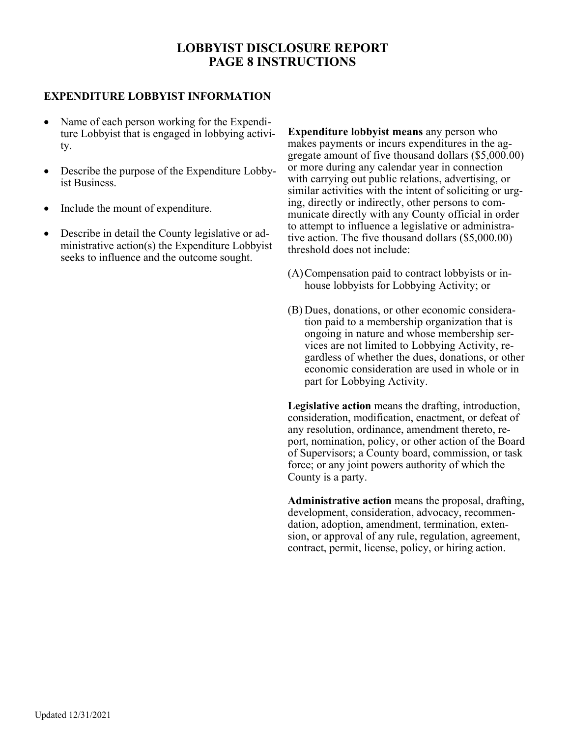# **LOBBYIST DISCLOSURE REPORT PAGE 8 INSTRUCTIONS**

#### **EXPENDITURE LOBBYIST INFORMATION**

- Name of each person working for the Expenditure Lobbyist that is engaged in lobbying activity.
- Describe the purpose of the Expenditure Lobbyist Business.
- Include the mount of expenditure.
- Describe in detail the County legislative or administrative action(s) the Expenditure Lobbyist seeks to influence and the outcome sought.

**Expenditure lobbyist means** any person who makes payments or incurs expenditures in the aggregate amount of five thousand dollars (\$5,000.00) or more during any calendar year in connection with carrying out public relations, advertising, or similar activities with the intent of soliciting or urging, directly or indirectly, other persons to communicate directly with any County official in order to attempt to influence a legislative or administrative action. The five thousand dollars (\$5,000.00) threshold does not include:

- (A) Compensation paid to contract lobbyists or inhouse lobbyists for Lobbying Activity; or
- (B) Dues, donations, or other economic consideration paid to a membership organization that is ongoing in nature and whose membership services are not limited to Lobbying Activity, regardless of whether the dues, donations, or other economic consideration are used in whole or in part for Lobbying Activity.

**Legislative action** means the drafting, introduction, consideration, modification, enactment, or defeat of any resolution, ordinance, amendment thereto, report, nomination, policy, or other action of the Board of Supervisors; a County board, commission, or task force; or any joint powers authority of which the County is a party.

**Administrative action** means the proposal, drafting, development, consideration, advocacy, recommendation, adoption, amendment, termination, extension, or approval of any rule, regulation, agreement, contract, permit, license, policy, or hiring action.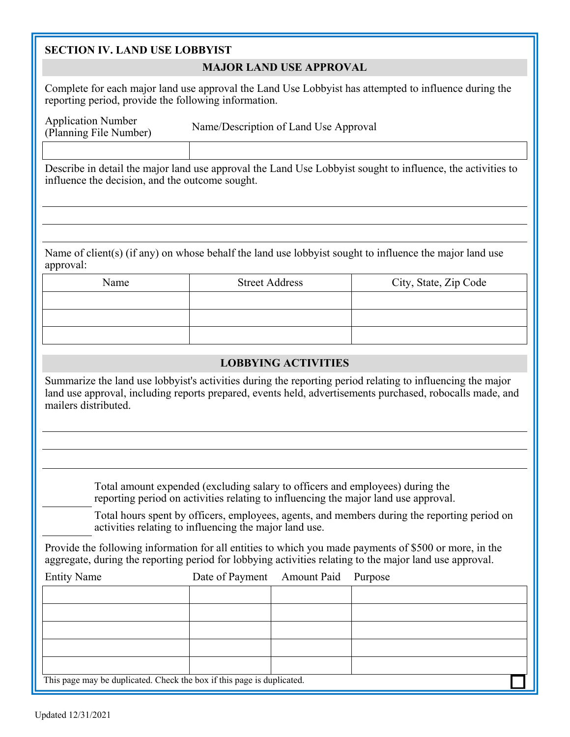#### **SECTION IV. LAND USE LOBBYIST**

#### **MAJOR LAND USE APPROVAL**

Complete for each major land use approval the Land Use Lobbyist has attempted to influence during the reporting period, provide the following information.

Application Number

(Planning File Number) Name/Description of Land Use Approval

Describe in detail the major land use approval the Land Use Lobbyist sought to influence, the activities to influence the decision, and the outcome sought.

Name of client(s) (if any) on whose behalf the land use lobbyist sought to influence the major land use approval:

| Name | <b>Street Address</b> | City, State, Zip Code |
|------|-----------------------|-----------------------|
|      |                       |                       |
|      |                       |                       |
|      |                       |                       |

#### **LOBBYING ACTIVITIES**

Summarize the land use lobbyist's activities during the reporting period relating to influencing the major land use approval, including reports prepared, events held, advertisements purchased, robocalls made, and mailers distributed.

> Total amount expended (excluding salary to officers and employees) during the reporting period on activities relating to influencing the major land use approval.

Total hours spent by officers, employees, agents, and members during the reporting period on activities relating to influencing the major land use.

Provide the following information for all entities to which you made payments of \$500 or more, in the aggregate, during the reporting period for lobbying activities relating to the major land use approval.

| <b>Entity Name</b>                                                     | Date of Payment Amount Paid Purpose |  |
|------------------------------------------------------------------------|-------------------------------------|--|
|                                                                        |                                     |  |
|                                                                        |                                     |  |
|                                                                        |                                     |  |
|                                                                        |                                     |  |
|                                                                        |                                     |  |
| This page may be duplicated. Check the box if this page is duplicated. |                                     |  |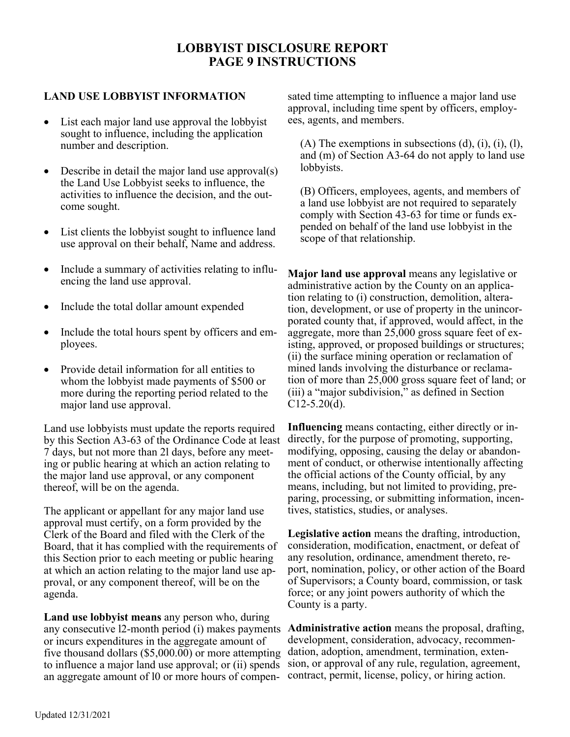# **LOBBYIST DISCLOSURE REPORT PAGE 9 INSTRUCTIONS**

#### **LAND USE LOBBYIST INFORMATION**

- List each major land use approval the lobbyist sought to influence, including the application number and description.
- Describe in detail the major land use approval(s) the Land Use Lobbyist seeks to influence, the activities to influence the decision, and the outcome sought.
- List clients the lobbyist sought to influence land use approval on their behalf, Name and address.
- Include a summary of activities relating to influencing the land use approval.
- Include the total dollar amount expended
- Include the total hours spent by officers and employees.
- Provide detail information for all entities to whom the lobbyist made payments of \$500 or more during the reporting period related to the major land use approval.

Land use lobbyists must update the reports required by this Section A3-63 of the Ordinance Code at least 7 days, but not more than 2l days, before any meeting or public hearing at which an action relating to the major land use approval, or any component thereof, will be on the agenda.

The applicant or appellant for any major land use approval must certify, on a form provided by the Clerk of the Board and filed with the Clerk of the Board, that it has complied with the requirements of this Section prior to each meeting or public hearing at which an action relating to the major land use approval, or any component thereof, will be on the agenda.

**Land use lobbyist means** any person who, during any consecutive l2-month period (i) makes payments or incurs expenditures in the aggregate amount of five thousand dollars (\$5,000.00) or more attempting to influence a major land use approval; or (ii) spends an aggregate amount of l0 or more hours of compen-

sated time attempting to influence a major land use approval, including time spent by officers, employees, agents, and members.

 $(A)$  The exemptions in subsections  $(d)$ ,  $(i)$ ,  $(i)$ ,  $(l)$ , and (m) of Section A3-64 do not apply to land use lobbyists.

(B) Officers, employees, agents, and members of a land use lobbyist are not required to separately comply with Section 43-63 for time or funds expended on behalf of the land use lobbyist in the scope of that relationship.

**Major land use approval** means any legislative or administrative action by the County on an application relating to (i) construction, demolition, alteration, development, or use of property in the unincorporated county that, if approved, would affect, in the aggregate, more than 25,000 gross square feet of existing, approved, or proposed buildings or structures; (ii) the surface mining operation or reclamation of mined lands involving the disturbance or reclamation of more than 25,000 gross square feet of land; or (iii) a "major subdivision," as defined in Section  $C12-5.20(d)$ .

**Influencing** means contacting, either directly or indirectly, for the purpose of promoting, supporting, modifying, opposing, causing the delay or abandonment of conduct, or otherwise intentionally affecting the official actions of the County official, by any means, including, but not limited to providing, preparing, processing, or submitting information, incentives, statistics, studies, or analyses.

**Legislative action** means the drafting, introduction, consideration, modification, enactment, or defeat of any resolution, ordinance, amendment thereto, report, nomination, policy, or other action of the Board of Supervisors; a County board, commission, or task force; or any joint powers authority of which the County is a party.

**Administrative action** means the proposal, drafting, development, consideration, advocacy, recommendation, adoption, amendment, termination, extension, or approval of any rule, regulation, agreement, contract, permit, license, policy, or hiring action.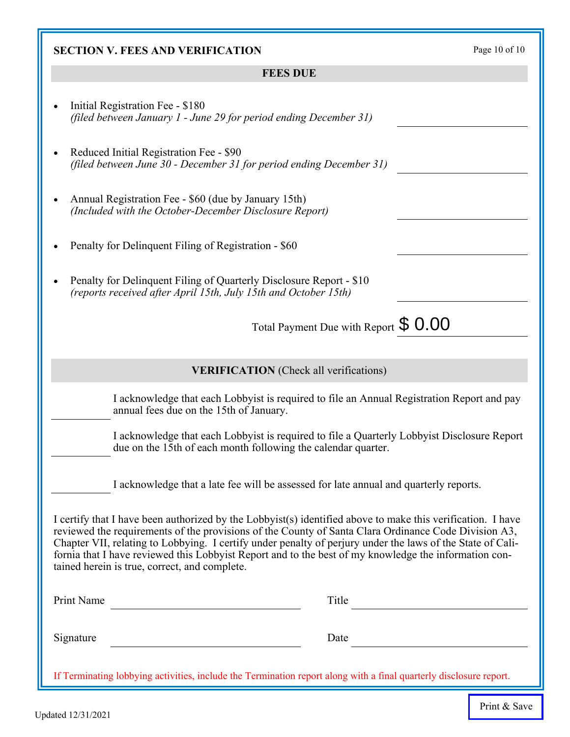| Initial Registration Fee - \$180<br>(filed between January 1 - June 29 for period ending December 31)                                                                                                                                                                                                                                                                                                                                                                                       |
|---------------------------------------------------------------------------------------------------------------------------------------------------------------------------------------------------------------------------------------------------------------------------------------------------------------------------------------------------------------------------------------------------------------------------------------------------------------------------------------------|
| Reduced Initial Registration Fee - \$90<br>(filed between June 30 - December 31 for period ending December 31)                                                                                                                                                                                                                                                                                                                                                                              |
| Annual Registration Fee - \$60 (due by January 15th)<br>(Included with the October-December Disclosure Report)                                                                                                                                                                                                                                                                                                                                                                              |
| Penalty for Delinquent Filing of Registration - \$60                                                                                                                                                                                                                                                                                                                                                                                                                                        |
| Penalty for Delinquent Filing of Quarterly Disclosure Report - \$10<br>(reports received after April 15th, July 15th and October 15th)                                                                                                                                                                                                                                                                                                                                                      |
| Total Payment Due with Report $$0.00$                                                                                                                                                                                                                                                                                                                                                                                                                                                       |
|                                                                                                                                                                                                                                                                                                                                                                                                                                                                                             |
| <b>VERIFICATION</b> (Check all verifications)                                                                                                                                                                                                                                                                                                                                                                                                                                               |
| I acknowledge that each Lobbyist is required to file an Annual Registration Report and pay<br>annual fees due on the 15th of January.                                                                                                                                                                                                                                                                                                                                                       |
| I acknowledge that each Lobbyist is required to file a Quarterly Lobbyist Disclosure Report<br>due on the 15th of each month following the calendar quarter.                                                                                                                                                                                                                                                                                                                                |
| I acknowledge that a late fee will be assessed for late annual and quarterly reports.                                                                                                                                                                                                                                                                                                                                                                                                       |
| I certify that I have been authorized by the Lobbyist(s) identified above to make this verification. I have<br>reviewed the requirements of the provisions of the County of Santa Clara Ordinance Code Division A3,<br>Chapter VII, relating to Lobbying. I certify under penalty of perjury under the laws of the State of Cali-<br>fornia that I have reviewed this Lobbyist Report and to the best of my knowledge the information con-<br>tained herein is true, correct, and complete. |
| <b>Print Name</b><br>Title                                                                                                                                                                                                                                                                                                                                                                                                                                                                  |

**SECTION V. FEES AND VERIFICATION** Page 10 of 10

**FEES DUE** 

# fornia that I have reviewed this Lobbyist Report and to the best of my knowledge the information con-Print Name Title Signature Date If Terminating lobbying activities, include the Termination report along with a final quarterly disclosure report.

Print & Save